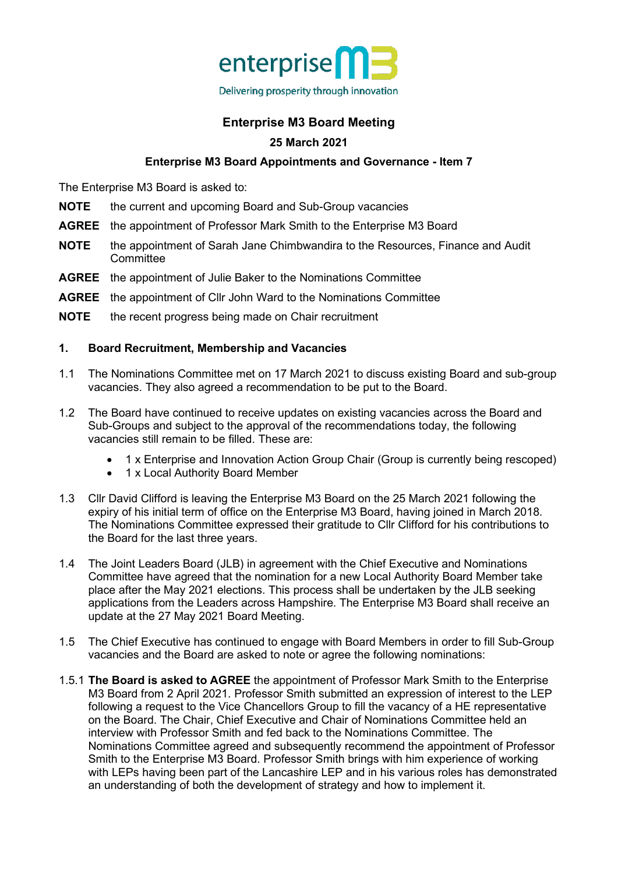

# **Enterprise M3 Board Meeting**

## **25 March 2021**

## **Enterprise M3 Board Appointments and Governance - Item 7**

The Enterprise M3 Board is asked to:

- **NOTE** the current and upcoming Board and Sub-Group vacancies
- **AGREE** the appointment of Professor Mark Smith to the Enterprise M3 Board
- **NOTE** the appointment of Sarah Jane Chimbwandira to the Resources, Finance and Audit **Committee**
- **AGREE** the appointment of Julie Baker to the Nominations Committee
- **AGREE** the appointment of Cllr John Ward to the Nominations Committee
- **NOTE** the recent progress being made on Chair recruitment

### **1. Board Recruitment, Membership and Vacancies**

- 1.1 The Nominations Committee met on 17 March 2021 to discuss existing Board and sub-group vacancies. They also agreed a recommendation to be put to the Board.
- 1.2 The Board have continued to receive updates on existing vacancies across the Board and Sub-Groups and subject to the approval of the recommendations today, the following vacancies still remain to be filled. These are:
	- 1 x Enterprise and Innovation Action Group Chair (Group is currently being rescoped)
	- 1 x Local Authority Board Member
- 1.3 Cllr David Clifford is leaving the Enterprise M3 Board on the 25 March 2021 following the expiry of his initial term of office on the Enterprise M3 Board, having joined in March 2018. The Nominations Committee expressed their gratitude to Cllr Clifford for his contributions to the Board for the last three years.
- 1.4 The Joint Leaders Board (JLB) in agreement with the Chief Executive and Nominations Committee have agreed that the nomination for a new Local Authority Board Member take place after the May 2021 elections. This process shall be undertaken by the JLB seeking applications from the Leaders across Hampshire. The Enterprise M3 Board shall receive an update at the 27 May 2021 Board Meeting.
- 1.5 The Chief Executive has continued to engage with Board Members in order to fill Sub-Group vacancies and the Board are asked to note or agree the following nominations:
- 1.5.1 **The Board is asked to AGREE** the appointment of Professor Mark Smith to the Enterprise M3 Board from 2 April 2021. Professor Smith submitted an expression of interest to the LEP following a request to the Vice Chancellors Group to fill the vacancy of a HE representative on the Board. The Chair, Chief Executive and Chair of Nominations Committee held an interview with Professor Smith and fed back to the Nominations Committee. The Nominations Committee agreed and subsequently recommend the appointment of Professor Smith to the Enterprise M3 Board. Professor Smith brings with him experience of working with LEPs having been part of the Lancashire LEP and in his various roles has demonstrated an understanding of both the development of strategy and how to implement it.